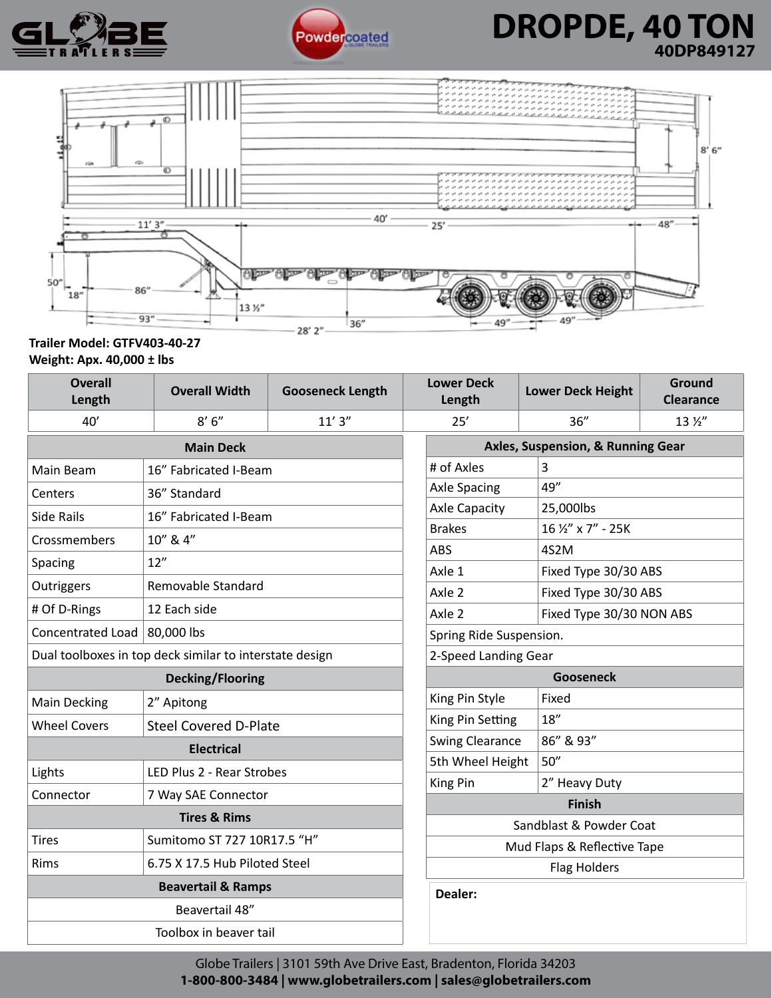



## **A BE** Powdercoated **DRUPDE, 40 I UN**<br>ATLERS FOR POWER COATED TO ADDP849127 **DROPDE, 40 TON 40DP849127**



### **Trailer Model: GTFV403-40-27 Weight: Apx. 40,000 ± lbs**

| <b>Overall</b><br>Length                                               | <b>Overall Width</b>         | <b>Gooseneck Length</b> | <b>Lower Deck</b><br>Length |                                   | <b>Lower Deck Height</b> | Ground<br><b>Clearance</b> |  |
|------------------------------------------------------------------------|------------------------------|-------------------------|-----------------------------|-----------------------------------|--------------------------|----------------------------|--|
| 40'                                                                    | 8'6''                        | 11'3''                  | 25'                         |                                   | 36''                     | 13 1/2"                    |  |
| <b>Main Deck</b>                                                       |                              |                         |                             | Axles, Suspension, & Running Gear |                          |                            |  |
| 16" Fabricated I-Beam<br>Main Beam                                     |                              |                         | # of Axles                  | 3                                 |                          |                            |  |
| Centers                                                                | 36" Standard                 | <b>Axle Spacing</b>     | 49"                         |                                   |                          |                            |  |
| <b>Side Rails</b>                                                      | 16" Fabricated I-Beam        | <b>Axle Capacity</b>    |                             | 25,000lbs                         |                          |                            |  |
| Crossmembers                                                           | 10" & 4"                     | <b>Brakes</b>           |                             | 16 1/2" x 7" - 25K                |                          |                            |  |
| Spacing                                                                | 12"                          | <b>ABS</b>              |                             | 4S2M                              |                          |                            |  |
|                                                                        | Removable Standard           | Axle 1                  |                             | Fixed Type 30/30 ABS              |                          |                            |  |
| Outriggers                                                             |                              | Axle 2                  |                             | Fixed Type 30/30 ABS              |                          |                            |  |
| # Of D-Rings                                                           | 12 Each side                 | Axle 2                  | Fixed Type 30/30 NON ABS    |                                   |                          |                            |  |
| Concentrated Load                                                      | 80,000 lbs                   |                         |                             | Spring Ride Suspension.           |                          |                            |  |
| Dual toolboxes in top deck similar to interstate design                |                              |                         |                             | 2-Speed Landing Gear              |                          |                            |  |
| <b>Decking/Flooring</b>                                                |                              |                         |                             | <b>Gooseneck</b>                  |                          |                            |  |
| <b>Main Decking</b>                                                    | 2" Apitong                   | King Pin Style          | Fixed                       |                                   |                          |                            |  |
| <b>Wheel Covers</b>                                                    | <b>Steel Covered D-Plate</b> | King Pin Setting        |                             | 18"                               |                          |                            |  |
| <b>Electrical</b>                                                      |                              |                         | <b>Swing Clearance</b>      |                                   | 86" & 93"                |                            |  |
| Lights<br>LED Plus 2 - Rear Strobes                                    |                              |                         | 50''<br>5th Wheel Height    |                                   |                          |                            |  |
| Connector                                                              | 7 Way SAE Connector          |                         | King Pin                    | 2" Heavy Duty                     |                          |                            |  |
| <b>Tires &amp; Rims</b>                                                |                              |                         |                             | <b>Finish</b>                     |                          |                            |  |
|                                                                        | Sumitomo ST 727 10R17.5 "H"  |                         |                             | Sandblast & Powder Coat           |                          |                            |  |
| <b>Tires</b>                                                           |                              |                         |                             | Mud Flaps & Reflective Tape       |                          |                            |  |
| Rims<br>6.75 X 17.5 Hub Piloted Steel<br><b>Beavertail &amp; Ramps</b> |                              |                         |                             | <b>Flag Holders</b>               |                          |                            |  |
|                                                                        | Dealer:                      |                         |                             |                                   |                          |                            |  |
|                                                                        |                              |                         |                             |                                   |                          |                            |  |
|                                                                        |                              |                         |                             |                                   |                          |                            |  |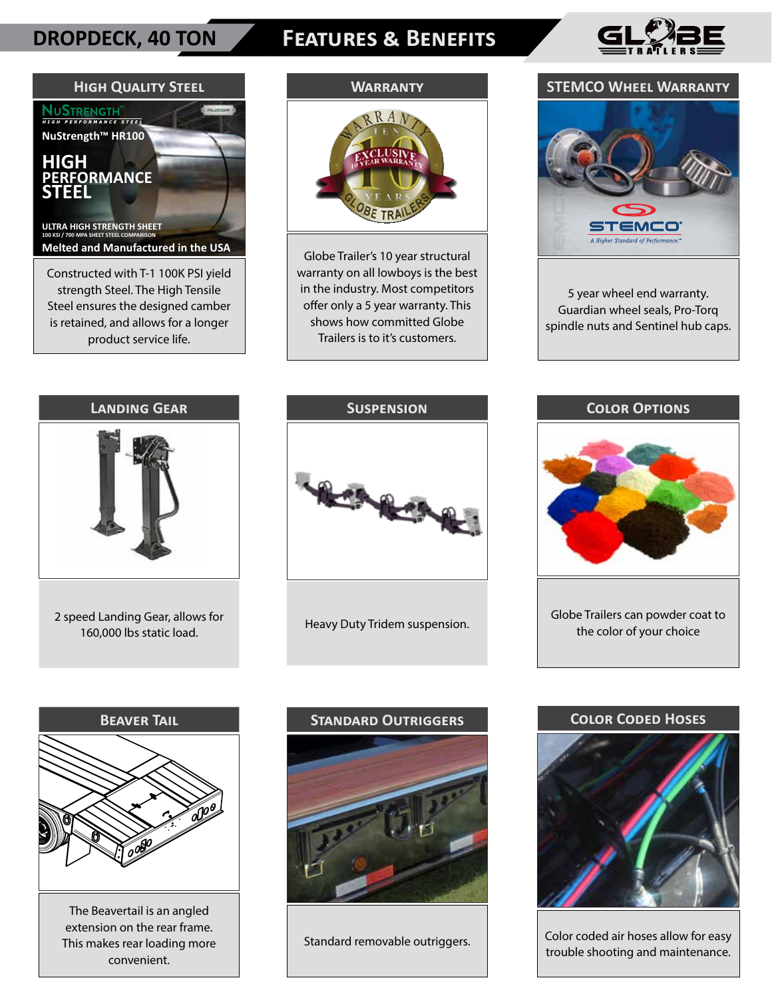## **DROPDECK, 40 TON**

# **Features & Benefits**





## **Warranty**



Globe Trailer's 10 year structural warranty on all lowboys is the best in the industry. Most competitors offer only a 5 year warranty. This shows how committed Globe Trailers is to it's customers.

## **STEMCO Wheel Warranty**



5 year wheel end warranty. Guardian wheel seals, Pro-Torq spindle nuts and Sentinel hub caps.



2 speed Landing Gear, allows for 160,000 lbs static load.



Heavy Duty Tridem suspension.

### **Color Options**



Globe Trailers can powder coat to the color of your choice



The Beavertail is an angled extension on the rear frame. This makes rear loading more convenient.



Standard removable outriggers.

#### **Color Coded Hoses**



Color coded air hoses allow for easy trouble shooting and maintenance.